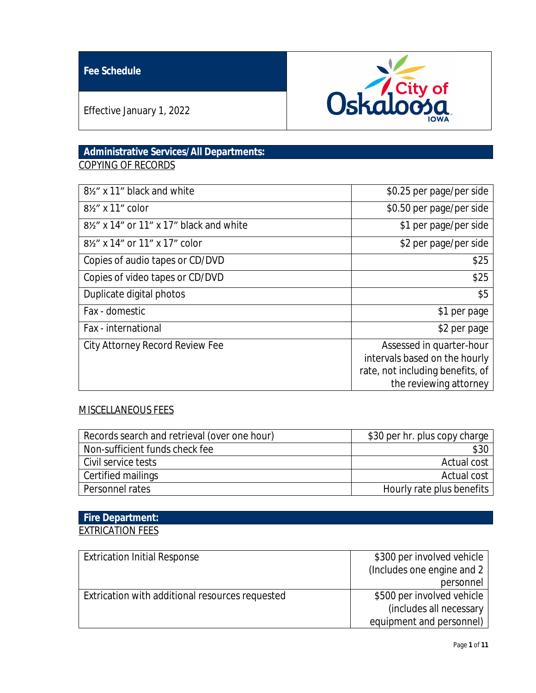## **Fee Schedule**



Effective January 1, 2022

## **Administrative Services/All Departments:** COPYING OF RECORDS

| 8½" x 11" black and white                   | \$0.25 per page/per side                                                                                                |
|---------------------------------------------|-------------------------------------------------------------------------------------------------------------------------|
| 8 <sup>1</sup> / <sub>2</sub> " x 11" color | \$0.50 per page/per side                                                                                                |
| 8½" x 14" or 11" x 17" black and white      | \$1 per page/per side                                                                                                   |
| 81/2" x 14" or 11" x 17" color              | \$2 per page/per side                                                                                                   |
| Copies of audio tapes or CD/DVD             | \$25                                                                                                                    |
| Copies of video tapes or CD/DVD             | \$25                                                                                                                    |
| Duplicate digital photos                    | \$5                                                                                                                     |
| Fax - domestic                              | \$1 per page                                                                                                            |
| Fax - international                         | \$2 per page                                                                                                            |
| City Attorney Record Review Fee             | Assessed in quarter-hour<br>intervals based on the hourly<br>rate, not including benefits, of<br>the reviewing attorney |

### MISCELLANEOUS FEES

| Records search and retrieval (over one hour) | \$30 per hr. plus copy charge |
|----------------------------------------------|-------------------------------|
| Non-sufficient funds check fee               |                               |
| Civil service tests                          | Actual cost                   |
| Certified mailings                           | Actual cost                   |
| Personnel rates                              | Hourly rate plus benefits     |

## **Fire Department:** EXTRICATION FEES

| <b>Extrication Initial Response</b>             | \$300 per involved vehicle  |
|-------------------------------------------------|-----------------------------|
|                                                 | (Includes one engine and 2) |
|                                                 | personnel                   |
| Extrication with additional resources requested | \$500 per involved vehicle  |
|                                                 | (includes all necessary     |
|                                                 | equipment and personnel)    |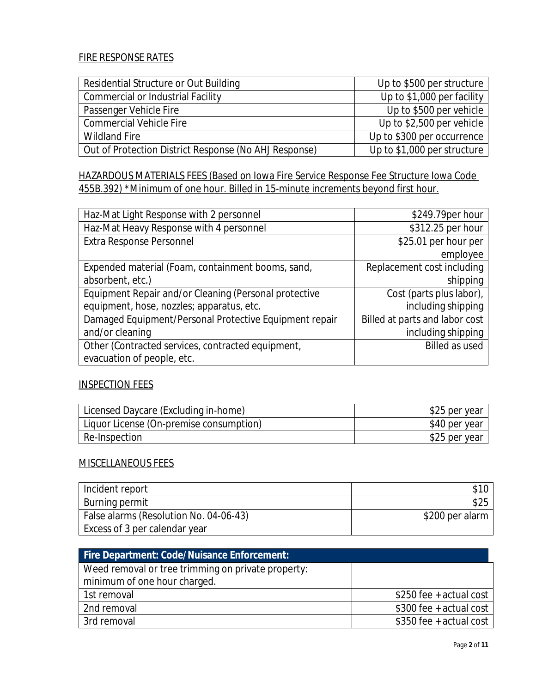### FIRE RESPONSE RATES

| Residential Structure or Out Building                 | Up to \$500 per structure   |
|-------------------------------------------------------|-----------------------------|
| Commercial or Industrial Facility                     | Up to $$1,000$ per facility |
| Passenger Vehicle Fire                                | Up to \$500 per vehicle     |
| <b>Commercial Vehicle Fire</b>                        | Up to \$2,500 per vehicle   |
| <b>Wildland Fire</b>                                  | Up to \$300 per occurrence  |
| Out of Protection District Response (No AHJ Response) | Up to \$1,000 per structure |

HAZARDOUS MATERIALS FEES (Based on Iowa Fire Service Response Fee Structure Iowa Code 455B.392) \*Minimum of one hour. Billed in 15-minute increments beyond first hour.

| Haz-Mat Light Response with 2 personnel                | \$249.79per hour               |
|--------------------------------------------------------|--------------------------------|
| Haz-Mat Heavy Response with 4 personnel                | \$312.25 per hour              |
| Extra Response Personnel                               | \$25.01 per hour per           |
|                                                        | employee                       |
| Expended material (Foam, containment booms, sand,      | Replacement cost including     |
| absorbent, etc.)                                       | shipping                       |
| Equipment Repair and/or Cleaning (Personal protective  | Cost (parts plus labor),       |
| equipment, hose, nozzles; apparatus, etc.              | including shipping             |
| Damaged Equipment/Personal Protective Equipment repair | Billed at parts and labor cost |
| and/or cleaning                                        | including shipping             |
| Other (Contracted services, contracted equipment,      | <b>Billed as used</b>          |
| evacuation of people, etc.                             |                                |

#### INSPECTION FEES

| Licensed Daycare (Excluding in-home)    | \$25 per year |
|-----------------------------------------|---------------|
| Liquor License (On-premise consumption) | \$40 per year |
| Re-Inspection                           | \$25 per year |

#### MISCELLANEOUS FEES

| Incident report                        |                 |
|----------------------------------------|-----------------|
| Burning permit                         | \$25            |
| False alarms (Resolution No. 04-06-43) | \$200 per alarm |
| Excess of 3 per calendar year          |                 |

| <b>Fire Department: Code/Nuisance Enforcement:</b> |                         |
|----------------------------------------------------|-------------------------|
| Weed removal or tree trimming on private property: |                         |
| minimum of one hour charged.                       |                         |
| 1st removal                                        | \$250 fee + actual cost |
| 2nd removal                                        | \$300 fee + actual cost |
| 3rd removal                                        | \$350 fee + actual cost |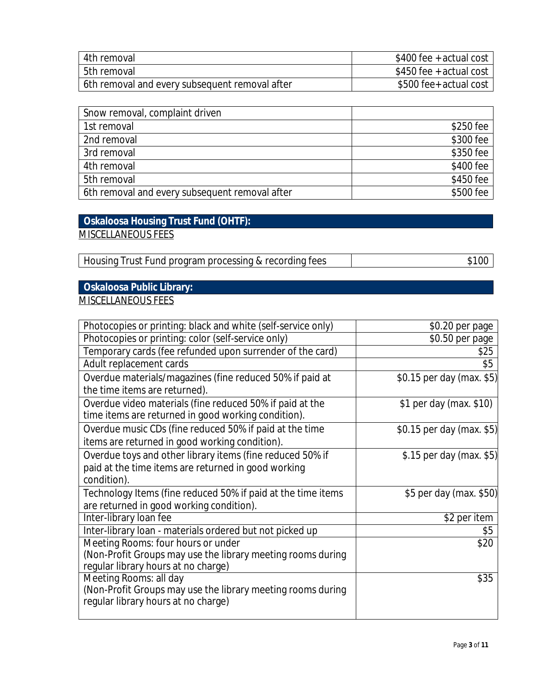| 4th removal                                    | $$400$ fee + actual cost |
|------------------------------------------------|--------------------------|
| l 5th removal                                  | \$450 fee + actual cost  |
| 6th removal and every subsequent removal after | \$500 fee+ actual cost   |

| Snow removal, complaint driven                 |           |
|------------------------------------------------|-----------|
| 1st removal                                    | \$250 fee |
| 2nd removal                                    | \$300 fee |
| 3rd removal                                    | \$350 fee |
| 4th removal                                    | \$400 fee |
| 5th removal                                    | \$450 fee |
| 6th removal and every subsequent removal after | \$500 fee |

## **Oskaloosa Housing Trust Fund (OHTF):** MISCELLANEOUS FEES

Housing Trust Fund program processing & recording fees  $\sim$  \$100

# **Oskaloosa Public Library:**

MISCELLANEOUS FEES

| Photocopies or printing: black and white (self-service only)                          | \$0.20 per page           |
|---------------------------------------------------------------------------------------|---------------------------|
| Photocopies or printing: color (self-service only)                                    | \$0.50 per page           |
| Temporary cards (fee refunded upon surrender of the card)                             | \$25                      |
| Adult replacement cards                                                               | \$5                       |
| Overdue materials/magazines (fine reduced 50% if paid at                              | \$0.15 per day (max. \$5) |
| the time items are returned).                                                         |                           |
| Overdue video materials (fine reduced 50% if paid at the                              | \$1 per day (max. \$10)   |
| time items are returned in good working condition).                                   |                           |
| Overdue music CDs (fine reduced 50% if paid at the time                               | \$0.15 per day (max. \$5) |
| items are returned in good working condition).                                        |                           |
| Overdue toys and other library items (fine reduced 50% if                             | \$.15 per day (max. \$5)  |
| paid at the time items are returned in good working                                   |                           |
| condition).                                                                           |                           |
| Technology Items (fine reduced 50% if paid at the time items                          | \$5 per day (max. \$50)   |
| are returned in good working condition).                                              |                           |
| Inter-library loan fee                                                                | \$2 per item              |
| Inter-library loan - materials ordered but not picked up                              | \$5                       |
| Meeting Rooms: four hours or under                                                    | \$20                      |
| (Non-Profit Groups may use the library meeting rooms during                           |                           |
| regular library hours at no charge)                                                   |                           |
| Meeting Rooms: all day<br>(Non-Profit Groups may use the library meeting rooms during | \$35                      |
| regular library hours at no charge)                                                   |                           |
|                                                                                       |                           |
|                                                                                       |                           |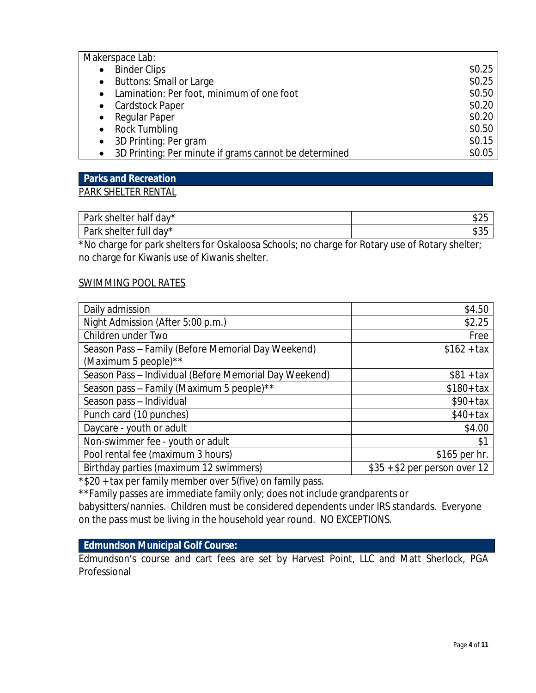| Makerspace Lab:                                       |        |
|-------------------------------------------------------|--------|
| <b>Binder Clips</b><br>$\bullet$                      | \$0.25 |
| <b>Buttons: Small or Large</b><br>$\bullet$           | \$0.25 |
| • Lamination: Per foot, minimum of one foot           | \$0.50 |
| • Cardstock Paper                                     | \$0.20 |
| Regular Paper<br>$\bullet$                            | \$0.20 |
| Rock Tumbling<br>$\bullet$                            | \$0.50 |
| 3D Printing: Per gram<br>$\bullet$                    | \$0.15 |
| 3D Printing: Per minute if grams cannot be determined | \$0.05 |

#### **Parks and Recreation**

#### PARK SHELTER RENTAL

| $\sim$<br>Park shelter<br>half day* | $\sim$ $\sim$ $\sim$<br>√ ⊅∠ |
|-------------------------------------|------------------------------|
| Park<br>day*<br>shelter<br>'ull     | $A \cap F$<br>⇒ບພ            |

\*No charge for park shelters for Oskaloosa Schools; no charge for Rotary use of Rotary shelter; no charge for Kiwanis use of Kiwanis shelter.

#### SWIMMING POOL RATES

| Daily admission                                        | \$4.50                        |
|--------------------------------------------------------|-------------------------------|
| Night Admission (After 5:00 p.m.)                      | \$2.25                        |
| Children under Two                                     | Free                          |
| Season Pass - Family (Before Memorial Day Weekend)     | $$162 + tax$                  |
| (Maximum 5 people) $*$                                 |                               |
| Season Pass - Individual (Before Memorial Day Weekend) | $$81 + tax$                   |
| Season pass - Family (Maximum 5 people)**              | $$180+ tax$                   |
| Season pass - Individual                               | $$90+ tax$                    |
| Punch card (10 punches)                                | $$40+ tax$                    |
| Daycare - youth or adult                               | \$4.00                        |
| Non-swimmer fee - youth or adult                       | \$1                           |
| Pool rental fee (maximum 3 hours)                      | \$165 per hr.                 |
| Birthday parties (maximum 12 swimmers)                 | $$35 + $2$ per person over 12 |

\*\$20 + tax per family member over 5(five) on family pass.

\*\*Family passes are immediate family only; does not include grandparents or babysitters/nannies. Children must be considered dependents under IRS standards. Everyone on the pass must be living in the household year round. NO EXCEPTIONS.

#### **Edmundson Municipal Golf Course:**

Edmundson's course and cart fees are set by Harvest Point, LLC and Matt Sherlock, PGA Professional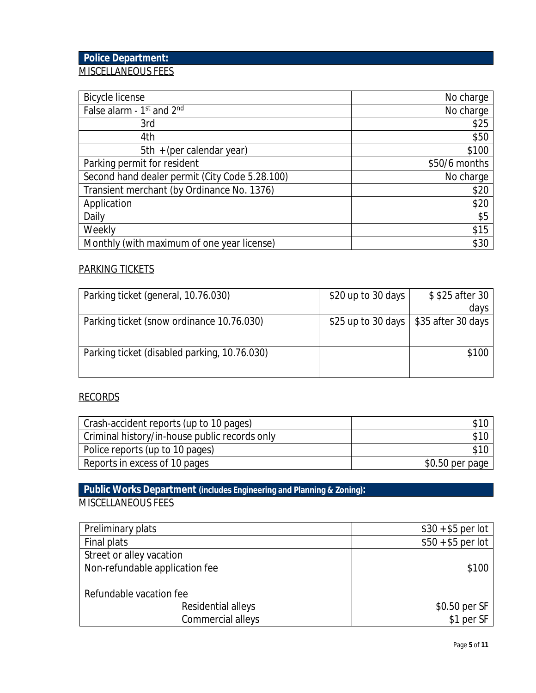## **Police Department:** MISCELLANEOUS FEES

| <b>Bicycle license</b>                         | No charge     |
|------------------------------------------------|---------------|
| False alarm - 1st and 2nd                      | No charge     |
| 3rd                                            | \$25          |
| 4th                                            | \$50          |
| 5th + (per calendar year)                      | \$100         |
| Parking permit for resident                    | \$50/6 months |
| Second hand dealer permit (City Code 5.28.100) | No charge     |
| Transient merchant (by Ordinance No. 1376)     | \$20          |
| Application                                    | \$20          |
| Daily                                          | \$5           |
| Weekly                                         | \$15          |
| Monthly (with maximum of one year license)     | \$30          |

#### PARKING TICKETS

| Parking ticket (general, 10.76.030)          | \$20 up to 30 days $ $ | \$\$25 after 30                         |
|----------------------------------------------|------------------------|-----------------------------------------|
|                                              |                        | days                                    |
| Parking ticket (snow ordinance 10.76.030)    |                        | \$25 up to 30 days   \$35 after 30 days |
|                                              |                        |                                         |
| Parking ticket (disabled parking, 10.76.030) |                        | \$100                                   |
|                                              |                        |                                         |

## RECORDS

| Crash-accident reports (up to 10 pages)       | \$10             |
|-----------------------------------------------|------------------|
| Criminal history/in-house public records only | \$10             |
| Police reports (up to 10 pages)               | \$10             |
| Reports in excess of 10 pages                 | $$0.50$ per page |

## **Public Works Department (includes Engineering and Planning & Zoning):** MISCELLANEOUS FEES

| Preliminary plats              | $$30 + $5$ per lot |
|--------------------------------|--------------------|
| Final plats                    | $$50 + $5$ per lot |
| Street or alley vacation       |                    |
| Non-refundable application fee | \$100              |
|                                |                    |
| Refundable vacation fee        |                    |
| Residential alleys             | \$0.50 per SF      |
| Commercial alleys              | \$1 per SF         |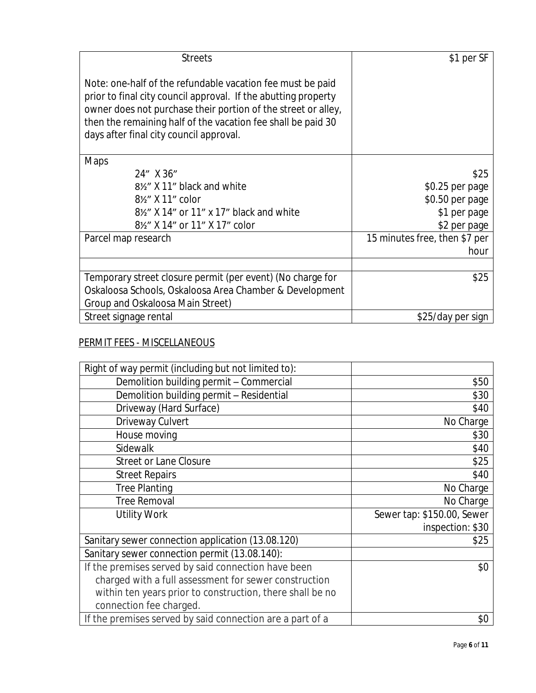| <b>Streets</b>                                                                                                                                                                                                                                                                                           | \$1 per SF                    |
|----------------------------------------------------------------------------------------------------------------------------------------------------------------------------------------------------------------------------------------------------------------------------------------------------------|-------------------------------|
| Note: one-half of the refundable vacation fee must be paid<br>prior to final city council approval. If the abutting property<br>owner does not purchase their portion of the street or alley,<br>then the remaining half of the vacation fee shall be paid 30<br>days after final city council approval. |                               |
| Maps                                                                                                                                                                                                                                                                                                     |                               |
| 24" X 36"                                                                                                                                                                                                                                                                                                | \$25                          |
| 8½" X 11" black and white                                                                                                                                                                                                                                                                                | \$0.25 per page               |
| 8 <sup>1</sup> / <sub>2</sub> X 11" color                                                                                                                                                                                                                                                                | \$0.50 per page               |
| 8½" X 14" or 11" x 17" black and white                                                                                                                                                                                                                                                                   | \$1 per page                  |
| 8½" X 14" or 11" X 17" color                                                                                                                                                                                                                                                                             | \$2 per page                  |
| Parcel map research                                                                                                                                                                                                                                                                                      | 15 minutes free, then \$7 per |
|                                                                                                                                                                                                                                                                                                          | hour                          |
|                                                                                                                                                                                                                                                                                                          |                               |
| Temporary street closure permit (per event) (No charge for                                                                                                                                                                                                                                               | \$25                          |
| Oskaloosa Schools, Oskaloosa Area Chamber & Development                                                                                                                                                                                                                                                  |                               |
| Group and Oskaloosa Main Street)                                                                                                                                                                                                                                                                         |                               |
| Street signage rental                                                                                                                                                                                                                                                                                    | \$25/day per sign             |

## PERMIT FEES - MISCELLANEOUS

| Right of way permit (including but not limited to):       |                            |
|-----------------------------------------------------------|----------------------------|
| Demolition building permit - Commercial                   | \$50                       |
| Demolition building permit - Residential                  | \$30                       |
| Driveway (Hard Surface)                                   | \$40                       |
| Driveway Culvert                                          | No Charge                  |
| House moving                                              | \$30                       |
| Sidewalk                                                  | \$40                       |
| <b>Street or Lane Closure</b>                             | \$25                       |
| <b>Street Repairs</b>                                     | \$40                       |
| <b>Tree Planting</b>                                      | No Charge                  |
| <b>Tree Removal</b>                                       | No Charge                  |
| <b>Utility Work</b>                                       | Sewer tap: \$150.00, Sewer |
|                                                           | inspection: \$30           |
| Sanitary sewer connection application (13.08.120)         | \$25                       |
| Sanitary sewer connection permit (13.08.140):             |                            |
| If the premises served by said connection have been       | \$0                        |
| charged with a full assessment for sewer construction     |                            |
| within ten years prior to construction, there shall be no |                            |
| connection fee charged.                                   |                            |
| If the premises served by said connection are a part of a | \$0                        |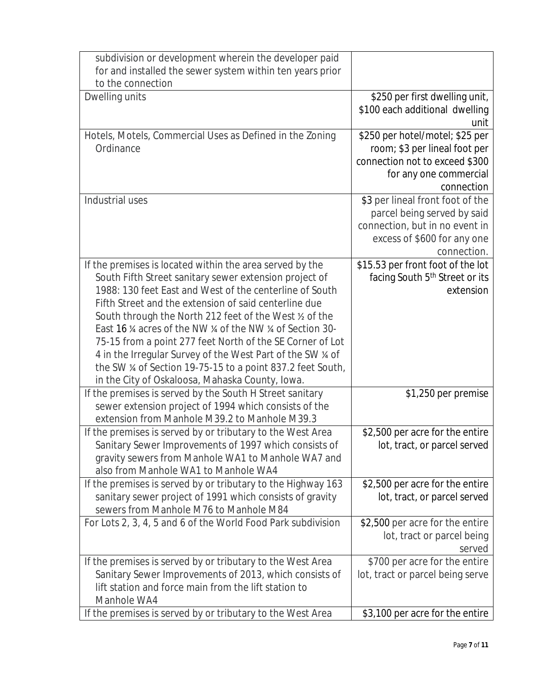|                                      | subdivision or development wherein the developer paid<br>for and installed the sewer system within ten years prior   |                                                                   |
|--------------------------------------|----------------------------------------------------------------------------------------------------------------------|-------------------------------------------------------------------|
| to the connection                    |                                                                                                                      |                                                                   |
| Dwelling units                       |                                                                                                                      | \$250 per first dwelling unit,                                    |
|                                      |                                                                                                                      | \$100 each additional dwelling                                    |
|                                      |                                                                                                                      | unit                                                              |
|                                      | Hotels, Motels, Commercial Uses as Defined in the Zoning                                                             | \$250 per hotel/motel; \$25 per                                   |
| Ordinance                            |                                                                                                                      | room; \$3 per lineal foot per                                     |
|                                      |                                                                                                                      | connection not to exceed \$300                                    |
|                                      |                                                                                                                      | for any one commercial                                            |
|                                      |                                                                                                                      | connection                                                        |
| Industrial uses                      |                                                                                                                      | \$3 per lineal front foot of the                                  |
|                                      |                                                                                                                      | parcel being served by said<br>connection, but in no event in     |
|                                      |                                                                                                                      | excess of \$600 for any one                                       |
|                                      |                                                                                                                      | connection.                                                       |
|                                      | If the premises is located within the area served by the                                                             | \$15.53 per front foot of the lot                                 |
|                                      | South Fifth Street sanitary sewer extension project of                                                               | facing South 5 <sup>th</sup> Street or its                        |
|                                      | 1988: 130 feet East and West of the centerline of South                                                              | extension                                                         |
|                                      | Fifth Street and the extension of said centerline due                                                                |                                                                   |
|                                      | South through the North 212 feet of the West % of the                                                                |                                                                   |
|                                      | East 16 % acres of the NW % of the NW % of Section 30-                                                               |                                                                   |
|                                      | 75-15 from a point 277 feet North of the SE Corner of Lot                                                            |                                                                   |
|                                      | 4 in the Irregular Survey of the West Part of the SW % of                                                            |                                                                   |
|                                      | the SW % of Section 19-75-15 to a point 837.2 feet South,                                                            |                                                                   |
|                                      | in the City of Oskaloosa, Mahaska County, Iowa.<br>If the premises is served by the South H Street sanitary          | \$1,250 per premise                                               |
|                                      | sewer extension project of 1994 which consists of the                                                                |                                                                   |
|                                      | extension from Manhole M39.2 to Manhole M39.3                                                                        |                                                                   |
|                                      | If the premises is served by or tributary to the West Area                                                           | \$2,500 per acre for the entire                                   |
|                                      | Sanitary Sewer Improvements of 1997 which consists of                                                                | lot, tract, or parcel served                                      |
|                                      | gravity sewers from Manhole WA1 to Manhole WA7 and                                                                   |                                                                   |
| also from Manhole WA1 to Manhole WA4 |                                                                                                                      |                                                                   |
|                                      | If the premises is served by or tributary to the Highway 163                                                         | \$2,500 per acre for the entire                                   |
|                                      | sanitary sewer project of 1991 which consists of gravity                                                             | lot, tract, or parcel served                                      |
|                                      | sewers from Manhole M76 to Manhole M84                                                                               |                                                                   |
|                                      | For Lots 2, 3, 4, 5 and 6 of the World Food Park subdivision                                                         | \$2,500 per acre for the entire                                   |
|                                      |                                                                                                                      | lot, tract or parcel being                                        |
|                                      |                                                                                                                      | served                                                            |
|                                      | If the premises is served by or tributary to the West Area<br>Sanitary Sewer Improvements of 2013, which consists of | \$700 per acre for the entire<br>lot, tract or parcel being serve |
|                                      | lift station and force main from the lift station to                                                                 |                                                                   |
| Manhole WA4                          |                                                                                                                      |                                                                   |
|                                      | If the premises is served by or tributary to the West Area                                                           | \$3,100 per acre for the entire                                   |
|                                      |                                                                                                                      |                                                                   |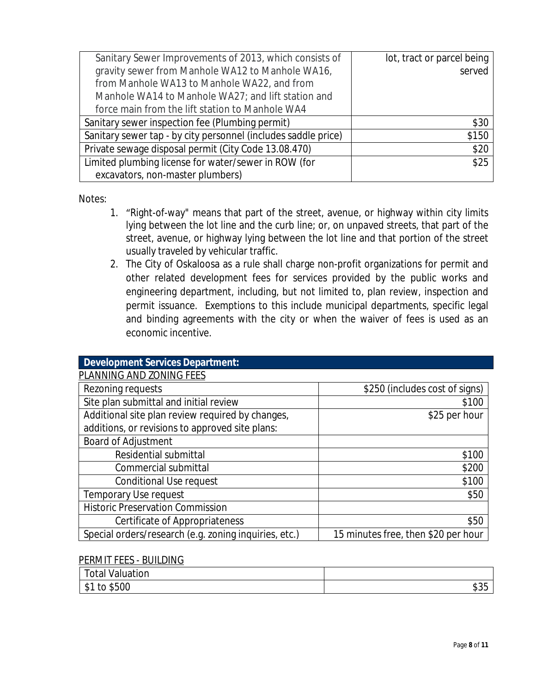| Sanitary Sewer Improvements of 2013, which consists of         | lot, tract or parcel being |
|----------------------------------------------------------------|----------------------------|
| gravity sewer from Manhole WA12 to Manhole WA16,               | served                     |
| from Manhole WA13 to Manhole WA22, and from                    |                            |
| Manhole WA14 to Manhole WA27; and lift station and             |                            |
| force main from the lift station to Manhole WA4                |                            |
| Sanitary sewer inspection fee (Plumbing permit)                | \$30                       |
| Sanitary sewer tap - by city personnel (includes saddle price) | \$150                      |
| Private sewage disposal permit (City Code 13.08.470)           | \$20                       |
| Limited plumbing license for water/sewer in ROW (for           | \$25                       |
| excavators, non-master plumbers)                               |                            |

Notes:

- 1. "Right-of-way" means that part of the street, avenue, or highway within city limits lying between the lot line and the curb line; or, on unpaved streets, that part of the street, avenue, or highway lying between the lot line and that portion of the street usually traveled by vehicular traffic.
- 2. The City of Oskaloosa as a rule shall charge non-profit organizations for permit and other related development fees for services provided by the public works and engineering department, including, but not limited to, plan review, inspection and permit issuance. Exemptions to this include municipal departments, specific legal and binding agreements with the city or when the waiver of fees is used as an economic incentive.

| <b>Development Services Department:</b>               |                                     |
|-------------------------------------------------------|-------------------------------------|
| PLANNING AND ZONING FEES                              |                                     |
| Rezoning requests                                     | \$250 (includes cost of signs)      |
| Site plan submittal and initial review                | \$100                               |
| Additional site plan review required by changes,      | \$25 per hour                       |
| additions, or revisions to approved site plans:       |                                     |
| Board of Adjustment                                   |                                     |
| Residential submittal                                 | \$100                               |
| Commercial submittal                                  | \$200                               |
| Conditional Use request                               | \$100                               |
| <b>Temporary Use request</b>                          | \$50                                |
| <b>Historic Preservation Commission</b>               |                                     |
| Certificate of Appropriateness                        | \$50                                |
| Special orders/research (e.g. zoning inquiries, etc.) | 15 minutes free, then \$20 per hour |

#### PERMIT FEES - BUILDING

| $\overline{ }$<br>$\cdots$<br>otal V<br>Valuation |                   |
|---------------------------------------------------|-------------------|
| \$500<br>1<br>τo<br>$-\Phi$ ).                    | $\sim$ $-$<br>ააა |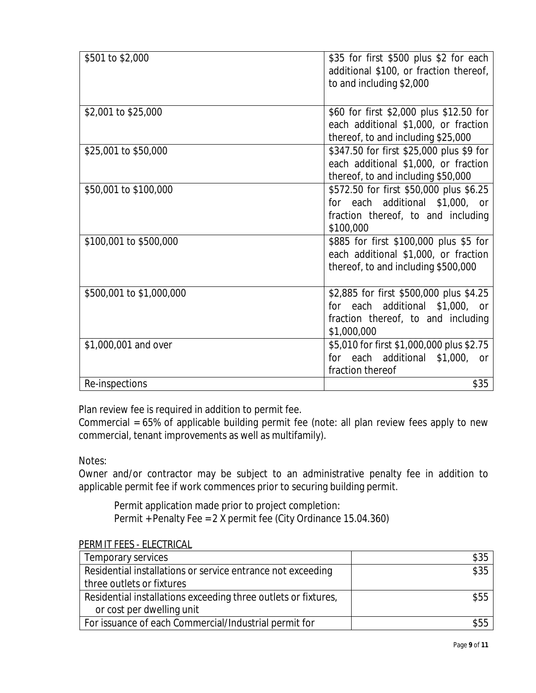| \$501 to \$2,000         | \$35 for first \$500 plus \$2 for each<br>additional \$100, or fraction thereof,<br>to and including \$2,000                    |
|--------------------------|---------------------------------------------------------------------------------------------------------------------------------|
| \$2,001 to \$25,000      | \$60 for first \$2,000 plus \$12.50 for<br>each additional \$1,000, or fraction<br>thereof, to and including \$25,000           |
| \$25,001 to \$50,000     | \$347.50 for first \$25,000 plus \$9 for<br>each additional \$1,000, or fraction<br>thereof, to and including \$50,000          |
| \$50,001 to \$100,000    | \$572.50 for first \$50,000 plus \$6.25<br>for each additional \$1,000, or<br>fraction thereof, to and including<br>\$100,000   |
| \$100,001 to \$500,000   | \$885 for first \$100,000 plus \$5 for<br>each additional \$1,000, or fraction<br>thereof, to and including \$500,000           |
| \$500,001 to \$1,000,000 | \$2,885 for first \$500,000 plus \$4.25<br>for each additional \$1,000, or<br>fraction thereof, to and including<br>\$1,000,000 |
| \$1,000,001 and over     | \$5,010 for first \$1,000,000 plus \$2.75<br>for each additional \$1,000, or<br>fraction thereof                                |
| Re-inspections           | \$35                                                                                                                            |

Plan review fee is required in addition to permit fee.

Commercial = 65% of applicable building permit fee (note: all plan review fees apply to new commercial, tenant improvements as well as multifamily).

Notes:

Owner and/or contractor may be subject to an administrative penalty fee in addition to applicable permit fee if work commences prior to securing building permit.

Permit application made prior to project completion: Permit + Penalty Fee = 2 X permit fee (City Ordinance 15.04.360)

| PERIVIIT FEES - ELEUTRIUAL                                     |      |
|----------------------------------------------------------------|------|
| Temporary services                                             | \$35 |
| Residential installations or service entrance not exceeding    | \$35 |
| three outlets or fixtures                                      |      |
| Residential installations exceeding three outlets or fixtures, | \$55 |
| or cost per dwelling unit                                      |      |
| For issuance of each Commercial/Industrial permit for          | \$55 |

## PERMIT FEES - ELECTRICAL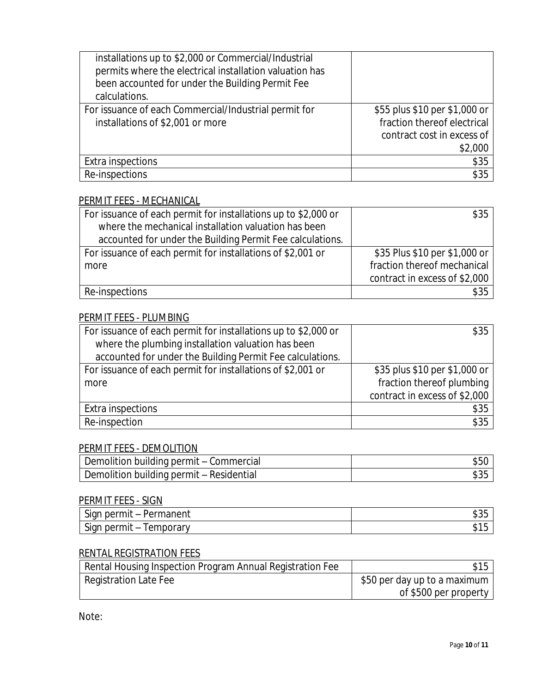| installations up to \$2,000 or Commercial/Industrial<br>permits where the electrical installation valuation has<br>been accounted for under the Building Permit Fee<br>calculations. |                                                                                                       |
|--------------------------------------------------------------------------------------------------------------------------------------------------------------------------------------|-------------------------------------------------------------------------------------------------------|
| For issuance of each Commercial/Industrial permit for<br>installations of \$2,001 or more                                                                                            | \$55 plus \$10 per \$1,000 or<br>fraction thereof electrical<br>contract cost in excess of<br>\$2,000 |
| Extra inspections                                                                                                                                                                    | \$35                                                                                                  |
| Re-inspections                                                                                                                                                                       | \$35                                                                                                  |

## PERMIT FEES - MECHANICAL

| For issuance of each permit for installations up to \$2,000 or | \$35                          |
|----------------------------------------------------------------|-------------------------------|
| where the mechanical installation valuation has been           |                               |
| accounted for under the Building Permit Fee calculations.      |                               |
| For issuance of each permit for installations of \$2,001 or    | \$35 Plus \$10 per \$1,000 or |
| more                                                           | fraction thereof mechanical   |
|                                                                | contract in excess of \$2,000 |
| Re-inspections                                                 | \$35                          |

### PERMIT FEES - PLUMBING

| For issuance of each permit for installations up to \$2,000 or | \$35                          |
|----------------------------------------------------------------|-------------------------------|
| where the plumbing installation valuation has been             |                               |
| accounted for under the Building Permit Fee calculations.      |                               |
| For issuance of each permit for installations of \$2,001 or    | \$35 plus \$10 per \$1,000 or |
| more                                                           | fraction thereof plumbing     |
|                                                                | contract in excess of \$2,000 |
| Extra inspections                                              | \$35                          |
| Re-inspection                                                  | \$35                          |

## PERMIT FEES - DEMOLITION

| Demolition building permit – Commercial  | S50. |
|------------------------------------------|------|
| Demolition building permit - Residential |      |

#### PERMIT FEES - SIGN

| $\sim$<br>1000000000<br>ົີີ່ ≏rmit – .<br>$\sim$<br>nen.<br>ப<br>Πа<br><b>Sidi</b><br>َب                                                                          | ن رو |
|-------------------------------------------------------------------------------------------------------------------------------------------------------------------|------|
| $\sim$<br>$n \wedge n$<br>$\sim$ $\sim$ $\sim$ $\sim$<br>$\sim$ $\sim$<br><b>SidL</b><br>mu<br>' ⊶ا ،<br>⊐<br>н<br>$\overline{\phantom{a}}$<br>⊿∣<br>u<br>ິ<br>ັບ | וש   |

## RENTAL REGISTRATION FEES

| Rental Housing Inspection Program Annual Registration Fee | \$15                         |
|-----------------------------------------------------------|------------------------------|
| Registration Late Fee                                     | \$50 per day up to a maximum |
|                                                           | of \$500 per property        |

Note: